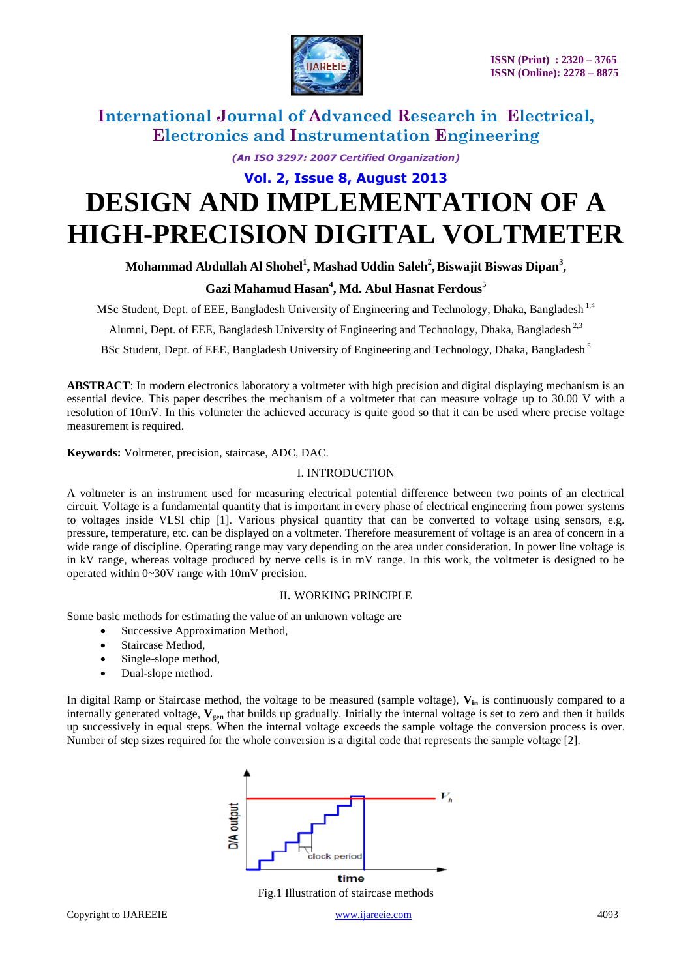

*(An ISO 3297: 2007 Certified Organization)*

### **Vol. 2, Issue 8, August 2013**

# **DESIGN AND IMPLEMENTATION OF A HIGH-PRECISION DIGITAL VOLTMETER**

### Mohammad Abdullah Al Shohel<sup>1</sup>, Mashad Uddin Saleh<sup>2</sup>, Biswajit Biswas Dipan<sup>3</sup>,

### **Gazi Mahamud Hasan<sup>4</sup> , Md. Abul Hasnat Ferdous<sup>5</sup>**

MSc Student, Dept. of EEE, Bangladesh University of Engineering and Technology, Dhaka, Bangladesh <sup>1,4</sup>

Alumni, Dept. of EEE, Bangladesh University of Engineering and Technology, Dhaka, Bangladesh<sup>2,3</sup>

BSc Student, Dept. of EEE, Bangladesh University of Engineering and Technology, Dhaka, Bangladesh<sup>5</sup>

**ABSTRACT**: In modern electronics laboratory a voltmeter with high precision and digital displaying mechanism is an essential device. This paper describes the mechanism of a voltmeter that can measure voltage up to 30.00 V with a resolution of 10mV. In this voltmeter the achieved accuracy is quite good so that it can be used where precise voltage measurement is required.

**Keywords:** Voltmeter, precision, staircase, ADC, DAC.

### I. INTRODUCTION

A voltmeter is an instrument used for measuring electrical potential difference between two points of an electrical circuit. Voltage is a fundamental quantity that is important in every phase of electrical engineering from power systems to voltages inside VLSI chip [1]. Various physical quantity that can be converted to voltage using sensors, e.g. pressure, temperature, etc. can be displayed on a voltmeter. Therefore measurement of voltage is an area of concern in a wide range of discipline. Operating range may vary depending on the area under consideration. In power line voltage is in kV range, whereas voltage produced by nerve cells is in mV range. In this work, the voltmeter is designed to be operated within 0~30V range with 10mV precision.

### II. WORKING PRINCIPLE

Some basic methods for estimating the value of an unknown voltage are

- Successive Approximation Method,
- Staircase Method,
- Single-slope method,
- Dual-slope method.

In digital Ramp or Staircase method, the voltage to be measured (sample voltage), **Vin** is continuously compared to a internally generated voltage, **Vgen** that builds up gradually. Initially the internal voltage is set to zero and then it builds up successively in equal steps. When the internal voltage exceeds the sample voltage the conversion process is over. Number of step sizes required for the whole conversion is a digital code that represents the sample voltage [2].



Fig.1 Illustration of staircase methods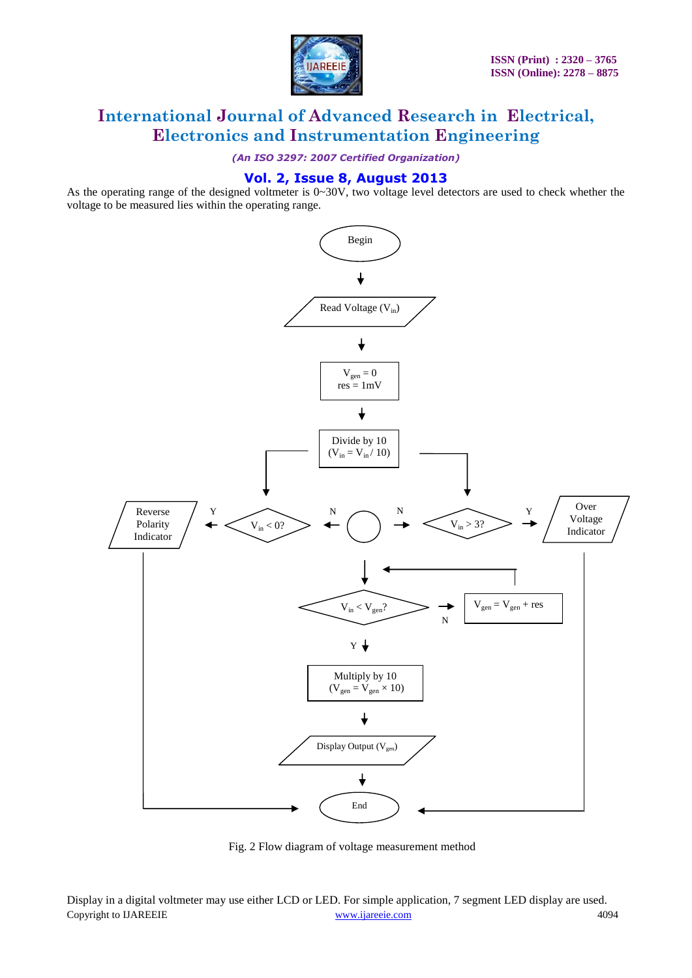

*(An ISO 3297: 2007 Certified Organization)*

# **Vol. 2, Issue 8, August 2013**

As the operating range of the designed voltmeter is 0~30V, two voltage level detectors are used to check whether the voltage to be measured lies within the operating range.



Fig. 2 Flow diagram of voltage measurement method

Copyright to IJAREEIE [www.ijareeie.com](http://www.ijareeie.com/) 4094 Display in a digital voltmeter may use either LCD or LED. For simple application, 7 segment LED display are used.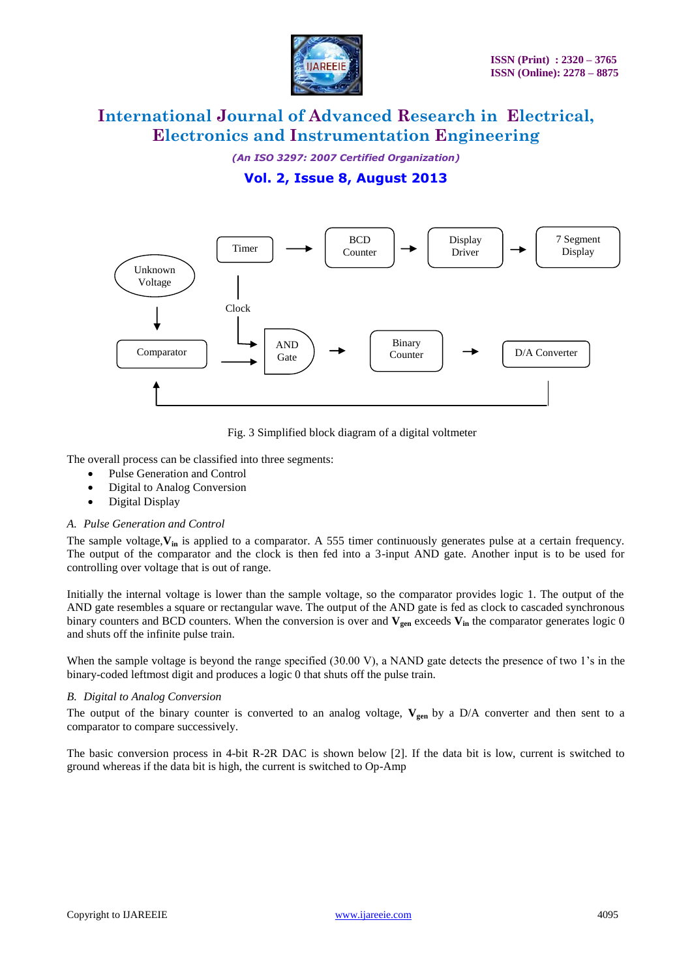

*(An ISO 3297: 2007 Certified Organization)*

### **Vol. 2, Issue 8, August 2013**



Fig. 3 Simplified block diagram of a digital voltmeter

The overall process can be classified into three segments:

- Pulse Generation and Control
- Digital to Analog Conversion
- Digital Display

### *A. Pulse Generation and Control*

The sample voltage, V<sub>in</sub> is applied to a comparator. A 555 timer continuously generates pulse at a certain frequency. The output of the comparator and the clock is then fed into a 3-input AND gate. Another input is to be used for controlling over voltage that is out of range.

Initially the internal voltage is lower than the sample voltage, so the comparator provides logic 1. The output of the AND gate resembles a square or rectangular wave. The output of the AND gate is fed as clock to cascaded synchronous binary counters and BCD counters. When the conversion is over and  $V_{\text{gen}}$  exceeds  $V_{\text{in}}$  the comparator generates logic 0 and shuts off the infinite pulse train.

When the sample voltage is beyond the range specified  $(30.00 \text{ V})$ , a NAND gate detects the presence of two 1's in the binary-coded leftmost digit and produces a logic 0 that shuts off the pulse train.

### *B. Digital to Analog Conversion*

The output of the binary counter is converted to an analog voltage,  $V_{gen}$  by a D/A converter and then sent to a comparator to compare successively.

The basic conversion process in 4-bit R-2R DAC is shown below [2]. If the data bit is low, current is switched to ground whereas if the data bit is high, the current is switched to Op-Amp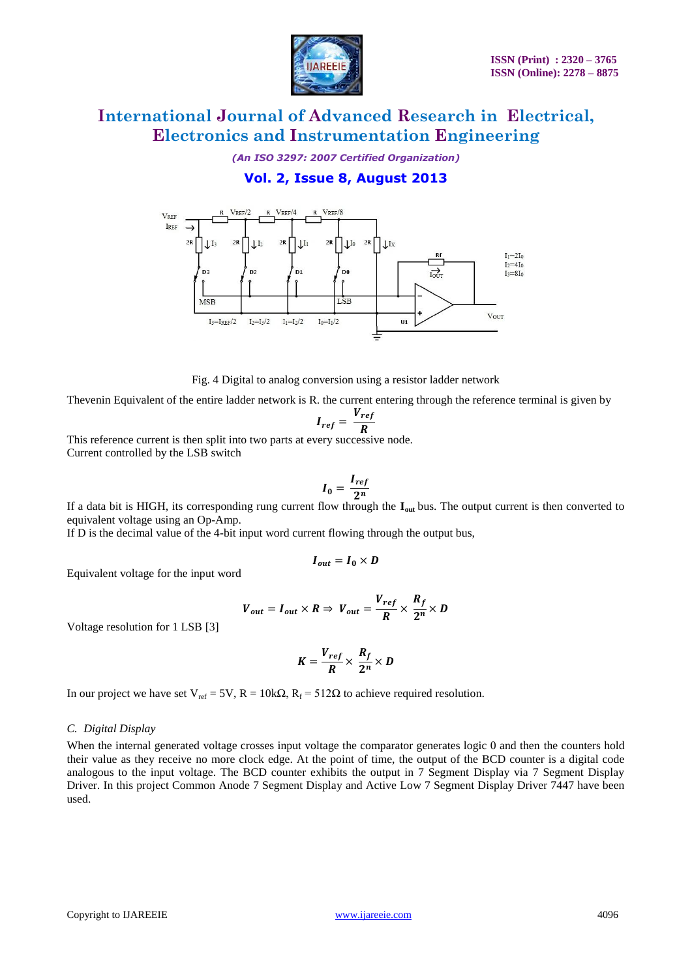

*(An ISO 3297: 2007 Certified Organization)*

## **Vol. 2, Issue 8, August 2013**



Fig. 4 Digital to analog conversion using a resistor ladder network

Thevenin Equivalent of the entire ladder network is R. the current entering through the reference terminal is given by

$$
I_{ref} = \frac{V_{ref}}{R}
$$

This reference current is then split into two parts at every successive node. Current controlled by the LSB switch

$$
I_0=\frac{I_{ref}}{2^n}
$$

If a data bit is HIGH, its corresponding rung current flow through the **Iout** bus. The output current is then converted to equivalent voltage using an Op-Amp.

If D is the decimal value of the 4-bit input word current flowing through the output bus,

$$
I_{out}=I_0\times D
$$

Equivalent voltage for the input word

$$
V_{out} = I_{out} \times R \Rightarrow V_{out} = \frac{V_{ref}}{R} \times \frac{R_f}{2^n} \times D
$$

Voltage resolution for 1 LSB [3]

$$
K=\frac{V_{ref}}{R}\times\frac{R_f}{2^n}\times D
$$

In our project we have set V<sub>ref</sub> = 5V, R = 10kΩ, R<sub>f</sub> = 512Ω to achieve required resolution.

#### *C. Digital Display*

When the internal generated voltage crosses input voltage the comparator generates logic 0 and then the counters hold their value as they receive no more clock edge. At the point of time, the output of the BCD counter is a digital code analogous to the input voltage. The BCD counter exhibits the output in 7 Segment Display via 7 Segment Display Driver. In this project Common Anode 7 Segment Display and Active Low 7 Segment Display Driver 7447 have been used.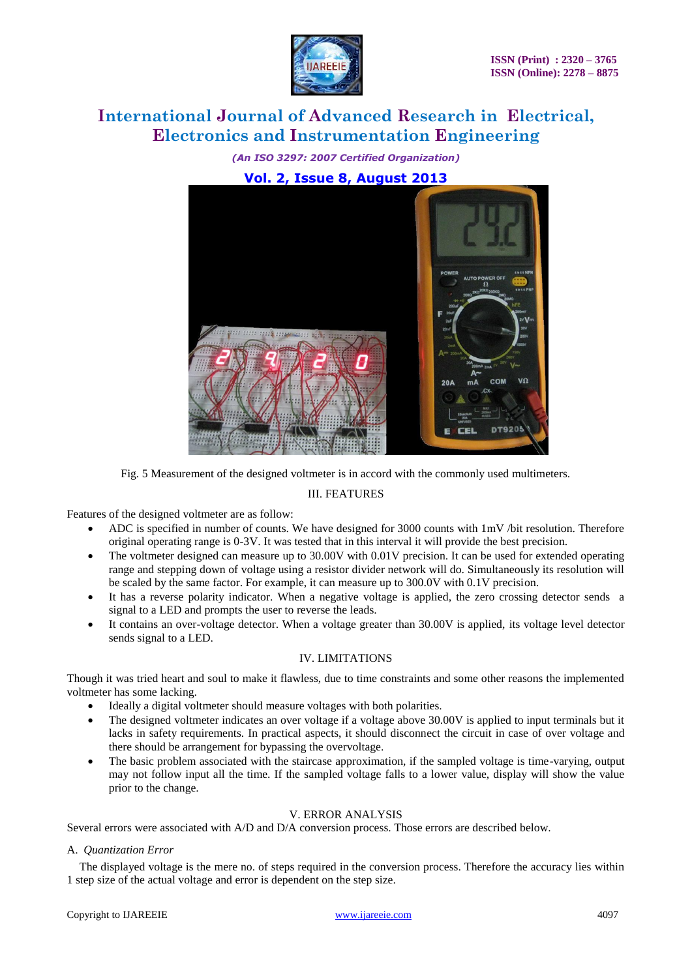

*(An ISO 3297: 2007 Certified Organization)*

## **Vol. 2, Issue 8, August 2013**



Fig. 5 Measurement of the designed voltmeter is in accord with the commonly used multimeters.

### III. FEATURES

Features of the designed voltmeter are as follow:

- ADC is specified in number of counts. We have designed for 3000 counts with 1mV /bit resolution. Therefore original operating range is 0-3V. It was tested that in this interval it will provide the best precision.
- The voltmeter designed can measure up to 30.00V with 0.01V precision. It can be used for extended operating range and stepping down of voltage using a resistor divider network will do. Simultaneously its resolution will be scaled by the same factor. For example, it can measure up to 300.0V with 0.1V precision.
- It has a reverse polarity indicator. When a negative voltage is applied, the zero crossing detector sends a signal to a LED and prompts the user to reverse the leads.
- It contains an over-voltage detector. When a voltage greater than 30.00V is applied, its voltage level detector sends signal to a LED.

### IV. LIMITATIONS

Though it was tried heart and soul to make it flawless, due to time constraints and some other reasons the implemented voltmeter has some lacking.

- Ideally a digital voltmeter should measure voltages with both polarities.
- The designed voltmeter indicates an over voltage if a voltage above 30.00V is applied to input terminals but it lacks in safety requirements. In practical aspects, it should disconnect the circuit in case of over voltage and there should be arrangement for bypassing the overvoltage.
- The basic problem associated with the staircase approximation, if the sampled voltage is time-varying, output may not follow input all the time. If the sampled voltage falls to a lower value, display will show the value prior to the change.

### V. ERROR ANALYSIS

Several errors were associated with A/D and D/A conversion process. Those errors are described below.

### A. *Quantization Error*

The displayed voltage is the mere no. of steps required in the conversion process. Therefore the accuracy lies within 1 step size of the actual voltage and error is dependent on the step size.